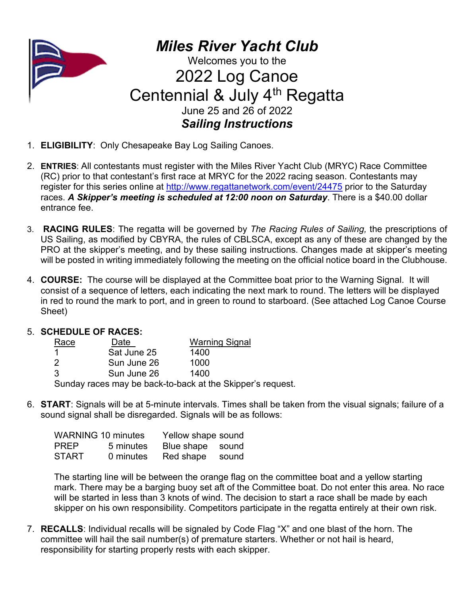

*Miles River Yacht Club* Welcomes you to the 2022 Log Canoe Centennial & July 4<sup>th</sup> Regatta June 25 and 26 of 2022 *Sailing Instructions*

- 1. **ELIGIBILITY**: Only Chesapeake Bay Log Sailing Canoes.
- 2. **ENTRIES**: All contestants must register with the Miles River Yacht Club (MRYC) Race Committee (RC) prior to that contestant's first race at MRYC for the 2022 racing season. Contestants may register for this series online at<http://www.regattanetwork.com/event/24475> prior to the Saturday races. *A Skipper's meeting is scheduled at 12:00 noon on Saturday*. There is a \$40.00 dollar entrance fee.
- 3. **RACING RULES**: The regatta will be governed by *The Racing Rules of Sailing,* the prescriptions of US Sailing, as modified by CBYRA, the rules of CBLSCA, except as any of these are changed by the PRO at the skipper's meeting, and by these sailing instructions. Changes made at skipper's meeting will be posted in writing immediately following the meeting on the official notice board in the Clubhouse.
- 4. **COURSE:** The course will be displayed at the Committee boat prior to the Warning Signal. It will consist of a sequence of letters, each indicating the next mark to round. The letters will be displayed in red to round the mark to port, and in green to round to starboard. (See attached Log Canoe Course Sheet)

## 5. **SCHEDULE OF RACES:**

| Race | Date        | <b>Warning Signal</b> |
|------|-------------|-----------------------|
|      | Sat June 25 | 1400                  |
| -2   | Sun June 26 | 1000                  |
| 3    | Sun June 26 | 1400                  |
|      |             |                       |

Sunday races may be back-to-back at the Skipper's request.

6. **START**: Signals will be at 5-minute intervals. Times shall be taken from the visual signals; failure of a sound signal shall be disregarded. Signals will be as follows:

| <b>WARNING 10 minutes</b> |           | Yellow shape sound |  |  |
|---------------------------|-----------|--------------------|--|--|
| <b>PREP</b>               | 5 minutes | Blue shape sound   |  |  |
| <b>START</b>              | 0 minutes | Red shape sound    |  |  |

The starting line will be between the orange flag on the committee boat and a yellow starting mark. There may be a barging buoy set aft of the Committee boat. Do not enter this area. No race will be started in less than 3 knots of wind. The decision to start a race shall be made by each skipper on his own responsibility. Competitors participate in the regatta entirely at their own risk.

7. **RECALLS**: Individual recalls will be signaled by Code Flag "X" and one blast of the horn. The committee will hail the sail number(s) of premature starters. Whether or not hail is heard, responsibility for starting properly rests with each skipper.